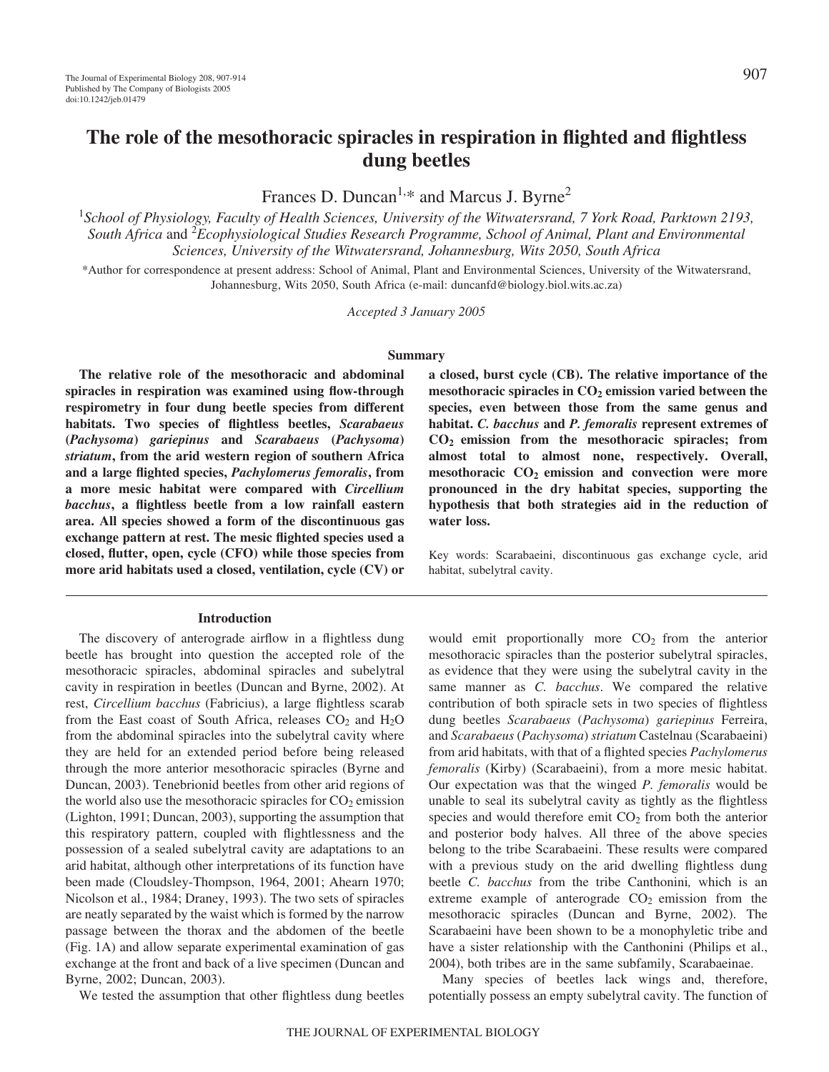# **The role of the mesothoracic spiracles in respiration in flighted and flightless dung beetles**

Frances D. Duncan<sup>1,\*</sup> and Marcus J. Byrne<sup>2</sup>

1 *School of Physiology, Faculty of Health Sciences, University of the Witwatersrand, 7 York Road, Parktown 2193,* South Africa and <sup>2</sup> Ecophysiological Studies Research Programme, School of Animal, Plant and Environmental *Sciences, University of the Witwatersrand, Johannesburg, Wits 2050, South Africa*

\*Author for correspondence at present address: School of Animal, Plant and Environmental Sciences, University of the Witwatersrand, Johannesburg, Wits 2050, South Africa (e-mail: duncanfd@biology.biol.wits.ac.za)

*Accepted 3 January 2005*

#### **Summary**

**The relative role of the mesothoracic and abdominal spiracles in respiration was examined using flow-through respirometry in four dung beetle species from different habitats. Two species of flightless beetles,** *Scarabaeus* **(***Pachysoma***)** *gariepinus* **and** *Scarabaeus* **(***Pachysoma***)** *striatum***, from the arid western region of southern Africa and a large flighted species,** *Pachylomerus femoralis***, from a more mesic habitat were compared with** *Circellium bacchus***, a flightless beetle from a low rainfall eastern area. All species showed a form of the discontinuous gas exchange pattern at rest. The mesic flighted species used a closed, flutter, open, cycle (CFO) while those species from more arid habitats used a closed, ventilation, cycle (CV) or**

#### **Introduction**

The discovery of anterograde airflow in a flightless dung beetle has brought into question the accepted role of the mesothoracic spiracles, abdominal spiracles and subelytral cavity in respiration in beetles (Duncan and Byrne, 2002). At rest, *Circellium bacchus* (Fabricius), a large flightless scarab from the East coast of South Africa, releases  $CO<sub>2</sub>$  and  $H<sub>2</sub>O$ from the abdominal spiracles into the subelytral cavity where they are held for an extended period before being released through the more anterior mesothoracic spiracles (Byrne and Duncan, 2003). Tenebrionid beetles from other arid regions of the world also use the mesothoracic spiracles for  $CO<sub>2</sub>$  emission (Lighton, 1991; Duncan, 2003), supporting the assumption that this respiratory pattern, coupled with flightlessness and the possession of a sealed subelytral cavity are adaptations to an arid habitat, although other interpretations of its function have been made (Cloudsley-Thompson, 1964, 2001; Ahearn 1970; Nicolson et al., 1984; Draney, 1993). The two sets of spiracles are neatly separated by the waist which is formed by the narrow passage between the thorax and the abdomen of the beetle (Fig. 1A) and allow separate experimental examination of gas exchange at the front and back of a live specimen (Duncan and Byrne, 2002; Duncan, 2003).

We tested the assumption that other flightless dung beetles

**a closed, burst cycle (CB). The relative importance of the** mesothoracic spiracles in  $CO<sub>2</sub>$  emission varied between the **species, even between those from the same genus and habitat.** *C. bacchus* **and** *P. femoralis* **represent extremes of CO2 emission from the mesothoracic spiracles; from almost total to almost none, respectively. Overall,** mesothoracic CO<sub>2</sub> emission and convection were more **pronounced in the dry habitat species, supporting the hypothesis that both strategies aid in the reduction of water loss.**

Key words: Scarabaeini, discontinuous gas exchange cycle, arid habitat, subelytral cavity.

would emit proportionally more  $CO<sub>2</sub>$  from the anterior mesothoracic spiracles than the posterior subelytral spiracles, as evidence that they were using the subelytral cavity in the same manner as *C. bacchus*. We compared the relative contribution of both spiracle sets in two species of flightless dung beetles *Scarabaeus* (*Pachysoma*) *gariepinus* Ferreira, and *Scarabaeus* (*Pachysoma*) *striatum* Castelnau (Scarabaeini) from arid habitats, with that of a flighted species *Pachylomerus femoralis* (Kirby) (Scarabaeini), from a more mesic habitat. Our expectation was that the winged *P. femoralis* would be unable to seal its subelytral cavity as tightly as the flightless species and would therefore emit  $CO<sub>2</sub>$  from both the anterior and posterior body halves. All three of the above species belong to the tribe Scarabaeini. These results were compared with a previous study on the arid dwelling flightless dung beetle *C. bacchus* from the tribe Canthonini*,* which is an extreme example of anterograde  $CO<sub>2</sub>$  emission from the mesothoracic spiracles (Duncan and Byrne, 2002). The Scarabaeini have been shown to be a monophyletic tribe and have a sister relationship with the Canthonini (Philips et al., 2004), both tribes are in the same subfamily, Scarabaeinae.

Many species of beetles lack wings and, therefore, potentially possess an empty subelytral cavity. The function of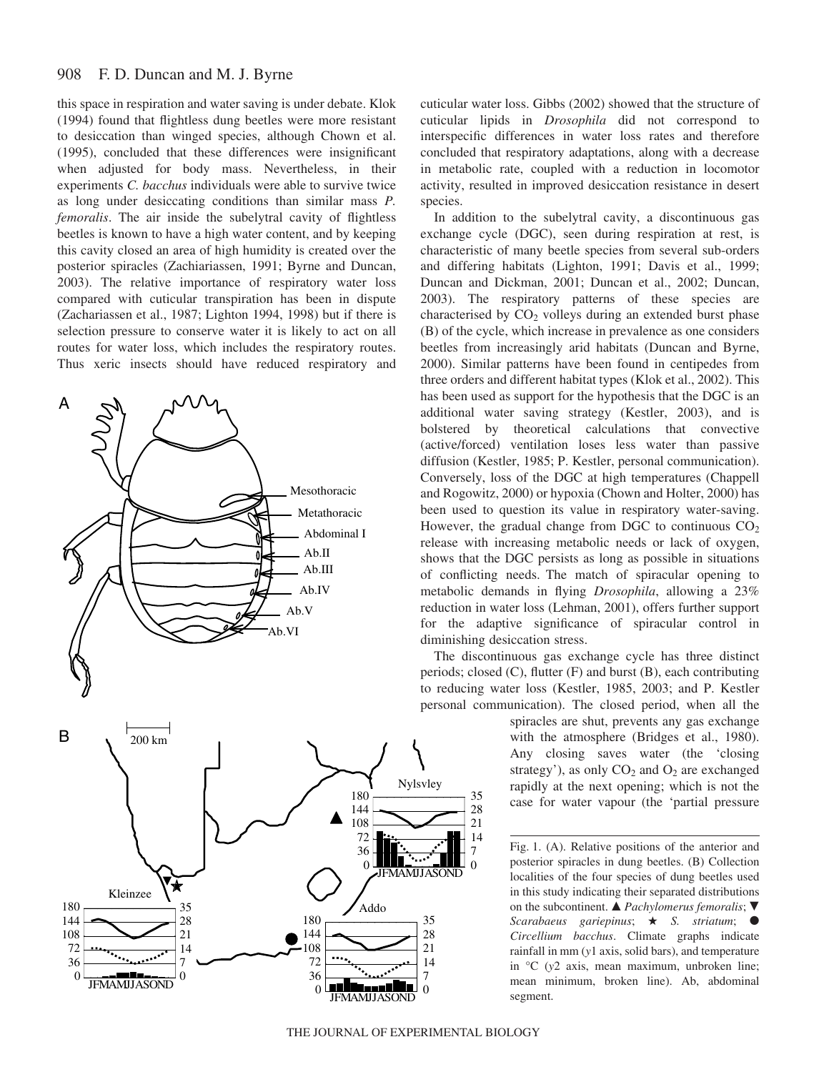#### 908 F. D. Duncan and M. J. Byrne

this space in respiration and water saving is under debate. Klok (1994) found that flightless dung beetles were more resistant to desiccation than winged species, although Chown et al. (1995), concluded that these differences were insignificant when adjusted for body mass. Nevertheless, in their experiments *C. bacchus* individuals were able to survive twice as long under desiccating conditions than similar mass *P. femoralis*. The air inside the subelytral cavity of flightless beetles is known to have a high water content, and by keeping this cavity closed an area of high humidity is created over the posterior spiracles (Zachiariassen, 1991; Byrne and Duncan, 2003). The relative importance of respiratory water loss compared with cuticular transpiration has been in dispute (Zachariassen et al., 1987; Lighton 1994, 1998) but if there is selection pressure to conserve water it is likely to act on all routes for water loss, which includes the respiratory routes. Thus xeric insects should have reduced respiratory and





cuticular water loss. Gibbs (2002) showed that the structure of cuticular lipids in *Drosophila* did not correspond to interspecific differences in water loss rates and therefore concluded that respiratory adaptations, along with a decrease in metabolic rate, coupled with a reduction in locomotor activity, resulted in improved desiccation resistance in desert species.

In addition to the subelytral cavity, a discontinuous gas exchange cycle (DGC), seen during respiration at rest, is characteristic of many beetle species from several sub-orders and differing habitats (Lighton, 1991; Davis et al., 1999; Duncan and Dickman, 2001; Duncan et al., 2002; Duncan, 2003). The respiratory patterns of these species are characterised by  $CO<sub>2</sub>$  volleys during an extended burst phase (B) of the cycle, which increase in prevalence as one considers beetles from increasingly arid habitats (Duncan and Byrne, 2000). Similar patterns have been found in centipedes from three orders and different habitat types (Klok et al., 2002). This has been used as support for the hypothesis that the DGC is an additional water saving strategy (Kestler, 2003), and is bolstered by theoretical calculations that convective (active/forced) ventilation loses less water than passive diffusion (Kestler, 1985; P. Kestler, personal communication). Conversely, loss of the DGC at high temperatures (Chappell and Rogowitz, 2000) or hypoxia (Chown and Holter, 2000) has been used to question its value in respiratory water-saving. However, the gradual change from DGC to continuous  $CO<sub>2</sub>$ release with increasing metabolic needs or lack of oxygen, shows that the DGC persists as long as possible in situations of conflicting needs. The match of spiracular opening to metabolic demands in flying *Drosophila*, allowing a 23% reduction in water loss (Lehman, 2001), offers further support for the adaptive significance of spiracular control in diminishing desiccation stress.

The discontinuous gas exchange cycle has three distinct periods; closed (C), flutter (F) and burst (B), each contributing to reducing water loss (Kestler, 1985, 2003; and P. Kestler personal communication). The closed period, when all the

> spiracles are shut, prevents any gas exchange with the atmosphere (Bridges et al., 1980). Any closing saves water (the 'closing strategy'), as only  $CO<sub>2</sub>$  and  $O<sub>2</sub>$  are exchanged rapidly at the next opening; which is not the case for water vapour (the 'partial pressure

> Fig. 1. (A). Relative positions of the anterior and posterior spiracles in dung beetles. (B) Collection localities of the four species of dung beetles used in this study indicating their separated distributions on the subcontinent.  $\triangle$  *Pachylomerus femoralis*;  $\nabla$ *Scarabaeus gariepinus*; *S. striatum*; *Circellium bacchus*. Climate graphs indicate rainfall in mm (*y*1 axis, solid bars), and temperature in °C (*y*2 axis, mean maximum, unbroken line; mean minimum, broken line). Ab, abdominal segment.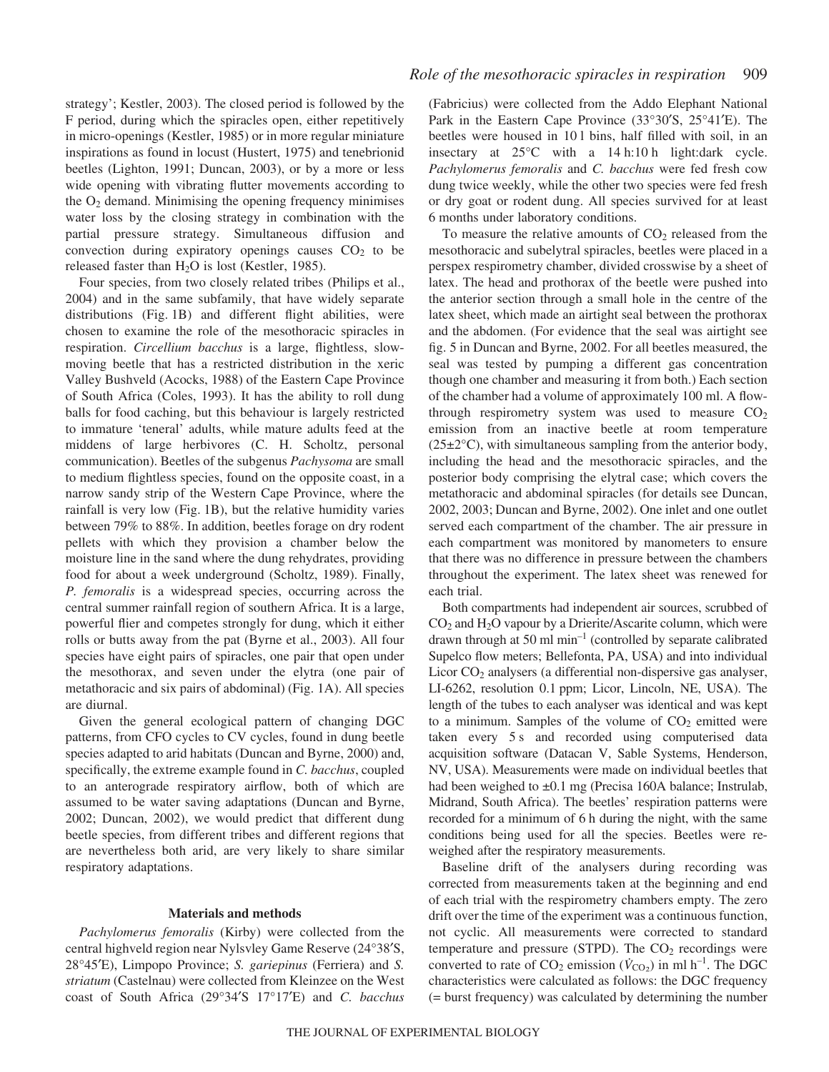strategy'; Kestler, 2003). The closed period is followed by the F period, during which the spiracles open, either repetitively in micro-openings (Kestler, 1985) or in more regular miniature inspirations as found in locust (Hustert, 1975) and tenebrionid beetles (Lighton, 1991; Duncan, 2003), or by a more or less wide opening with vibrating flutter movements according to the  $O<sub>2</sub>$  demand. Minimising the opening frequency minimises water loss by the closing strategy in combination with the partial pressure strategy. Simultaneous diffusion and convection during expiratory openings causes  $CO<sub>2</sub>$  to be released faster than  $H_2O$  is lost (Kestler, 1985).

Four species, from two closely related tribes (Philips et al., 2004) and in the same subfamily, that have widely separate distributions (Fig. 1B) and different flight abilities, were chosen to examine the role of the mesothoracic spiracles in respiration. *Circellium bacchus* is a large, flightless, slowmoving beetle that has a restricted distribution in the xeric Valley Bushveld (Acocks, 1988) of the Eastern Cape Province of South Africa (Coles, 1993). It has the ability to roll dung balls for food caching, but this behaviour is largely restricted to immature 'teneral' adults, while mature adults feed at the middens of large herbivores (C. H. Scholtz, personal communication). Beetles of the subgenus *Pachysoma* are small to medium flightless species, found on the opposite coast, in a narrow sandy strip of the Western Cape Province, where the rainfall is very low (Fig. 1B), but the relative humidity varies between 79% to 88%. In addition, beetles forage on dry rodent pellets with which they provision a chamber below the moisture line in the sand where the dung rehydrates, providing food for about a week underground (Scholtz, 1989). Finally, *P. femoralis* is a widespread species, occurring across the central summer rainfall region of southern Africa. It is a large, powerful flier and competes strongly for dung, which it either rolls or butts away from the pat (Byrne et al., 2003). All four species have eight pairs of spiracles, one pair that open under the mesothorax, and seven under the elytra (one pair of metathoracic and six pairs of abdominal) (Fig. 1A). All species are diurnal.

Given the general ecological pattern of changing DGC patterns, from CFO cycles to CV cycles, found in dung beetle species adapted to arid habitats (Duncan and Byrne, 2000) and, specifically, the extreme example found in *C. bacchus*, coupled to an anterograde respiratory airflow, both of which are assumed to be water saving adaptations (Duncan and Byrne, 2002; Duncan, 2002), we would predict that different dung beetle species, from different tribes and different regions that are nevertheless both arid, are very likely to share similar respiratory adaptations.

#### **Materials and methods**

*Pachylomerus femoralis* (Kirby) were collected from the central highveld region near Nylsvley Game Reserve (24°38′S, 28°45′E), Limpopo Province; *S. gariepinus* (Ferriera) and *S. striatum* (Castelnau) were collected from Kleinzee on the West coast of South Africa (29°34′S 17°17′E) and *C. bacchus* (Fabricius) were collected from the Addo Elephant National Park in the Eastern Cape Province (33°30′S, 25°41′E). The beetles were housed in 101 bins, half filled with soil, in an insectary at  $25^{\circ}$ C with a 14 h:10 h light:dark cycle. *Pachylomerus femoralis* and *C. bacchus* were fed fresh cow dung twice weekly, while the other two species were fed fresh or dry goat or rodent dung. All species survived for at least 6·months under laboratory conditions.

To measure the relative amounts of  $CO<sub>2</sub>$  released from the mesothoracic and subelytral spiracles, beetles were placed in a perspex respirometry chamber, divided crosswise by a sheet of latex. The head and prothorax of the beetle were pushed into the anterior section through a small hole in the centre of the latex sheet, which made an airtight seal between the prothorax and the abdomen. (For evidence that the seal was airtight see fig. 5 in Duncan and Byrne, 2002. For all beetles measured, the seal was tested by pumping a different gas concentration though one chamber and measuring it from both.) Each section of the chamber had a volume of approximately 100 ml. A flowthrough respirometry system was used to measure  $CO<sub>2</sub>$ emission from an inactive beetle at room temperature  $(25\pm2\degree C)$ , with simultaneous sampling from the anterior body, including the head and the mesothoracic spiracles, and the posterior body comprising the elytral case; which covers the metathoracic and abdominal spiracles (for details see Duncan, 2002, 2003; Duncan and Byrne, 2002). One inlet and one outlet served each compartment of the chamber. The air pressure in each compartment was monitored by manometers to ensure that there was no difference in pressure between the chambers throughout the experiment. The latex sheet was renewed for each trial.

Both compartments had independent air sources, scrubbed of CO2 and H2O vapour by a Drierite/Ascarite column, which were drawn through at 50 ml  $min^{-1}$  (controlled by separate calibrated Supelco flow meters; Bellefonta, PA, USA) and into individual Licor  $CO<sub>2</sub>$  analysers (a differential non-dispersive gas analyser, LI-6262, resolution 0.1 ppm; Licor, Lincoln, NE, USA). The length of the tubes to each analyser was identical and was kept to a minimum. Samples of the volume of  $CO<sub>2</sub>$  emitted were taken every 5 s and recorded using computerised data acquisition software (Datacan V, Sable Systems, Henderson, NV, USA). Measurements were made on individual beetles that had been weighed to  $\pm 0.1$  mg (Precisa 160A balance; Instrulab, Midrand, South Africa). The beetles' respiration patterns were recorded for a minimum of 6 h during the night, with the same conditions being used for all the species. Beetles were reweighed after the respiratory measurements.

Baseline drift of the analysers during recording was corrected from measurements taken at the beginning and end of each trial with the respirometry chambers empty. The zero drift over the time of the experiment was a continuous function, not cyclic. All measurements were corrected to standard temperature and pressure (STPD). The  $CO<sub>2</sub>$  recordings were converted to rate of  $CO_2$  emission ( $\dot{V}_{CO_2}$ ) in ml h<sup>-1</sup>. The DGC characteristics were calculated as follows: the DGC frequency (= burst frequency) was calculated by determining the number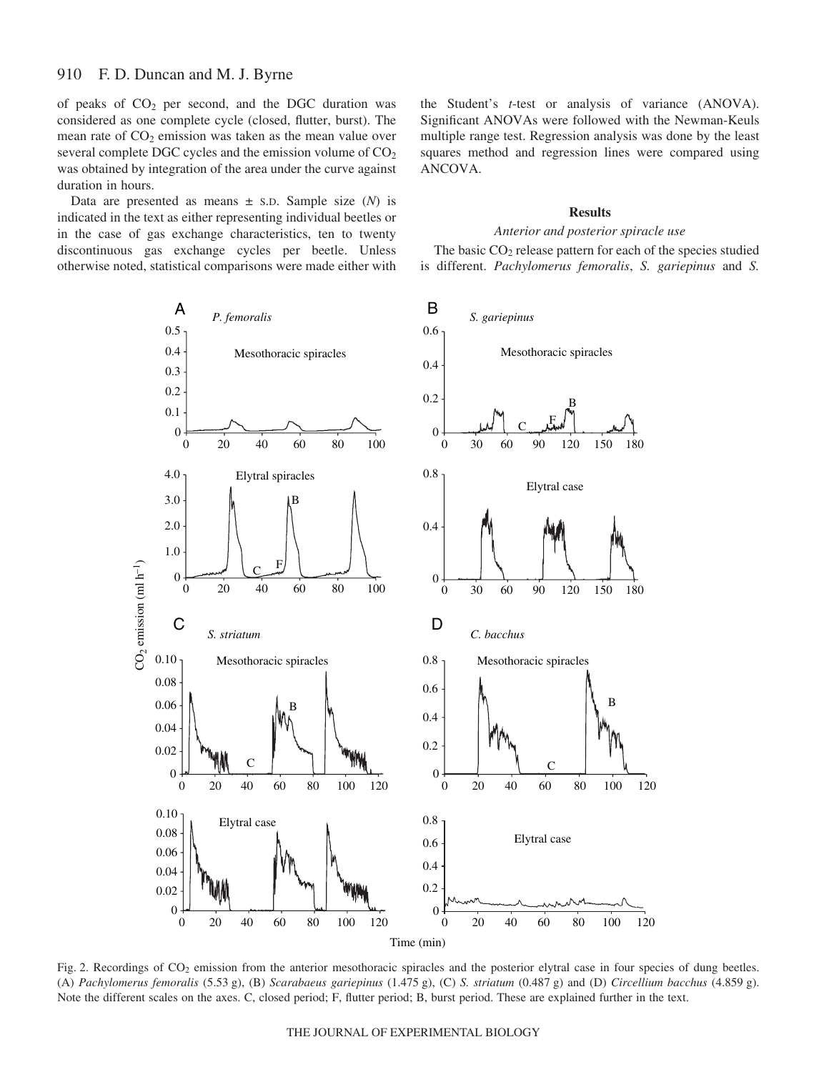of peaks of  $CO<sub>2</sub>$  per second, and the DGC duration was considered as one complete cycle (closed, flutter, burst). The mean rate of  $CO<sub>2</sub>$  emission was taken as the mean value over several complete DGC cycles and the emission volume of  $CO<sub>2</sub>$ was obtained by integration of the area under the curve against duration in hours.

Data are presented as means  $\pm$  s.D. Sample size  $(N)$  is indicated in the text as either representing individual beetles or in the case of gas exchange characteristics, ten to twenty discontinuous gas exchange cycles per beetle. Unless otherwise noted, statistical comparisons were made either with

the Student's *t*-test or analysis of variance (ANOVA). Significant ANOVAs were followed with the Newman-Keuls multiple range test. Regression analysis was done by the least squares method and regression lines were compared using ANCOVA.

#### **Results**

#### *Anterior and posterior spiracle use*

The basic  $CO<sub>2</sub>$  release pattern for each of the species studied is different. *Pachylomerus femoralis*, *S. gariepinus* and *S.*



Fig. 2. Recordings of  $CO_2$  emission from the anterior mesothoracic spiracles and the posterior elytral case in four species of dung beetles. (A) *Pachylomerus femoralis* (5.53·g), (B) *Scarabaeus gariepinus* (1.475·g), (C) *S. striatum* (0.487·g) and (D) *Circellium bacchus* (4.859·g). Note the different scales on the axes. C, closed period; F, flutter period; B, burst period. These are explained further in the text.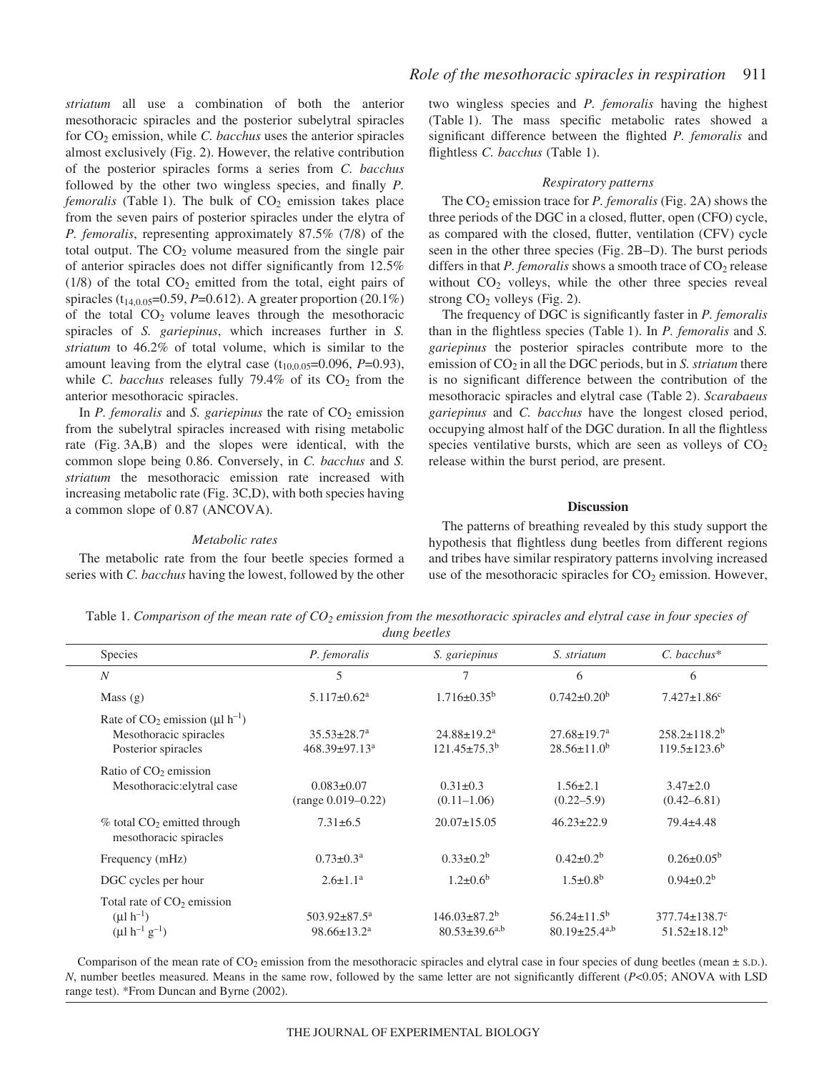*striatum* all use a combination of both the anterior mesothoracic spiracles and the posterior subelytral spiracles for CO2 emission, while *C. bacchus* uses the anterior spiracles almost exclusively (Fig. 2). However, the relative contribution of the posterior spiracles forms a series from *C. bacchus* followed by the other two wingless species, and finally *P. femoralis* (Table 1). The bulk of  $CO<sub>2</sub>$  emission takes place from the seven pairs of posterior spiracles under the elytra of *P. femoralis*, representing approximately 87.5% (7/8) of the total output. The  $CO<sub>2</sub>$  volume measured from the single pair of anterior spiracles does not differ significantly from 12.5%  $(1/8)$  of the total  $CO<sub>2</sub>$  emitted from the total, eight pairs of spiracles (t14,0.05=0.59, *P*=0.612). A greater proportion (20.1%) of the total  $CO<sub>2</sub>$  volume leaves through the mesothoracic spiracles of *S. gariepinus*, which increases further in *S. striatum* to 46.2% of total volume, which is similar to the amount leaving from the elytral case  $(t_{10,0.05} = 0.096, P = 0.93)$ , while *C. bacchus* releases fully  $79.4\%$  of its  $CO<sub>2</sub>$  from the anterior mesothoracic spiracles.

In *P. femoralis* and *S. gariepinus* the rate of  $CO<sub>2</sub>$  emission from the subelytral spiracles increased with rising metabolic rate (Fig. 3A,B) and the slopes were identical, with the common slope being 0.86. Conversely, in *C. bacchus* and *S. striatum* the mesothoracic emission rate increased with increasing metabolic rate (Fig. 3C,D), with both species having a common slope of 0.87 (ANCOVA).

#### *Metabolic rates*

The metabolic rate from the four beetle species formed a series with *C. bacchus* having the lowest, followed by the other two wingless species and *P. femoralis* having the highest (Table·1). The mass specific metabolic rates showed a significant difference between the flighted *P. femoralis* and flightless *C. bacchus* (Table 1).

#### *Respiratory patterns*

The CO<sub>2</sub> emission trace for *P. femoralis* (Fig. 2A) shows the three periods of the DGC in a closed, flutter, open (CFO) cycle, as compared with the closed, flutter, ventilation (CFV) cycle seen in the other three species (Fig. 2B–D). The burst periods differs in that  $P$ . femoralis shows a smooth trace of  $CO_2$  release without  $CO<sub>2</sub>$  volleys, while the other three species reveal strong  $CO<sub>2</sub>$  volleys (Fig. 2).

The frequency of DGC is significantly faster in *P. femoralis* than in the flightless species (Table·1). In *P. femoralis* and *S. gariepinus* the posterior spiracles contribute more to the emission of CO<sub>2</sub> in all the DGC periods, but in *S. striatum* there is no significant difference between the contribution of the mesothoracic spiracles and elytral case (Table·2). *Scarabaeus gariepinus* and *C. bacchus* have the longest closed period, occupying almost half of the DGC duration. In all the flightless species ventilative bursts, which are seen as volleys of  $CO<sub>2</sub>$ release within the burst period, are present.

#### **Discussion**

The patterns of breathing revealed by this study support the hypothesis that flightless dung beetles from different regions and tribes have similar respiratory patterns involving increased use of the mesothoracic spiracles for  $CO<sub>2</sub>$  emission. However,

Table 1. Comparison of the mean rate of CO<sub>2</sub> emission from the mesothoracic spiracles and elytral case in four species of *dung beetles*

| Species                                                                                        | P. femoralis                                          | S. gariepinus                                 | S. striatum                                           | $C.$ bacchus*                               |
|------------------------------------------------------------------------------------------------|-------------------------------------------------------|-----------------------------------------------|-------------------------------------------------------|---------------------------------------------|
| $\boldsymbol{N}$                                                                               | 5                                                     | $\overline{7}$                                | 6                                                     | 6                                           |
| Mass $(g)$                                                                                     | $5.117 \pm 0.62^a$                                    | $1.716 \pm 0.35^b$                            | $0.742 \pm 0.20^b$                                    | $7.427 \pm 1.86$ <sup>c</sup>               |
| Rate of $CO_2$ emission (µl h <sup>-1</sup> )<br>Mesothoracic spiracles<br>Posterior spiracles | $35.53 \pm 28.7^a$<br>$468.39 \pm 97.13$ <sup>a</sup> | $24.88 \pm 19.2^a$<br>$121.45 \pm 75.3^b$     | $27.68 \pm 19.7^{\text{a}}$<br>$28.56 \pm 11.0^b$     | $258.2 \pm 118.2^b$<br>$119.5 \pm 123.6^b$  |
| Ratio of $CO2$ emission<br>Mesothoracic: elytral case                                          | $0.083 \pm 0.07$<br>$(range 0.019 - 0.22)$            | $0.31 \pm 0.3$<br>$(0.11 - 1.06)$             | $1.56 \pm 2.1$<br>$(0.22 - 5.9)$                      | $3.47 \pm 2.0$<br>$(0.42 - 6.81)$           |
| $%$ total $CO2$ emitted through<br>mesothoracic spiracles                                      | $7.31 \pm 6.5$                                        | $20.07 \pm 15.05$                             | $46.23 \pm 22.9$                                      | $79.4 + 4.48$                               |
| Frequency (mHz)                                                                                | $0.73 \pm 0.3^a$                                      | $0.33 \pm 0.2^b$                              | $0.42 \pm 0.2^b$                                      | $0.26 \pm 0.05^b$                           |
| DGC cycles per hour                                                                            | $2.6 \pm 1.1^a$                                       | $1.2 \pm 0.6^b$                               | $1.5 \pm 0.8^b$                                       | $0.94 \pm 0.2^b$                            |
| Total rate of $CO2$ emission<br>$(\mu l \, h^{-1})$<br>$(\mu l \; h^{-1} \; g^{-1})$           | $503.92 \pm 87.5^{\text{a}}$<br>$98.66 \pm 13.2^a$    | $146.03 \pm 87.2^b$<br>$80.53 \pm 39.6^{a,b}$ | $56.24 \pm 11.5^b$<br>$80.19 \pm 25.4$ <sup>a,b</sup> | $377.74 \pm 138.7$ °<br>$51.52 \pm 18.12^b$ |

Comparison of the mean rate of  $CO_2$  emission from the mesothoracic spiracles and elytral case in four species of dung beetles (mean  $\pm$  s.D.). *N*, number beetles measured. Means in the same row, followed by the same letter are not significantly different (*P*<0.05; ANOVA with LSD range test). \*From Duncan and Byrne (2002).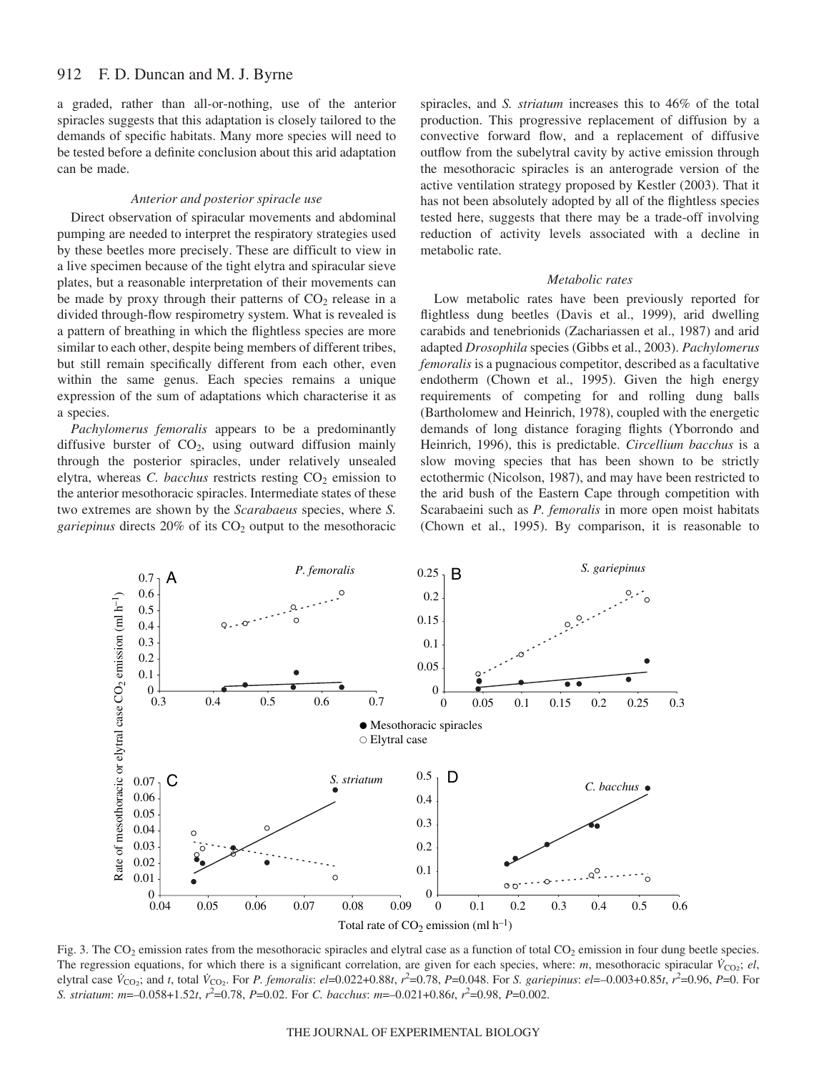a graded, rather than all-or-nothing, use of the anterior spiracles suggests that this adaptation is closely tailored to the demands of specific habitats. Many more species will need to be tested before a definite conclusion about this arid adaptation can be made.

#### *Anterior and posterior spiracle use*

Direct observation of spiracular movements and abdominal pumping are needed to interpret the respiratory strategies used by these beetles more precisely. These are difficult to view in a live specimen because of the tight elytra and spiracular sieve plates, but a reasonable interpretation of their movements can be made by proxy through their patterns of  $CO<sub>2</sub>$  release in a divided through-flow respirometry system. What is revealed is a pattern of breathing in which the flightless species are more similar to each other, despite being members of different tribes, but still remain specifically different from each other, even within the same genus. Each species remains a unique expression of the sum of adaptations which characterise it as a species.

*Pachylomerus femoralis* appears to be a predominantly diffusive burster of  $CO<sub>2</sub>$ , using outward diffusion mainly through the posterior spiracles, under relatively unsealed elytra, whereas *C. bacchus* restricts resting CO<sub>2</sub> emission to the anterior mesothoracic spiracles. Intermediate states of these two extremes are shown by the *Scarabaeus* species, where *S.* gariepinus directs 20% of its CO<sub>2</sub> output to the mesothoracic

spiracles, and *S. striatum* increases this to 46% of the total production. This progressive replacement of diffusion by a convective forward flow, and a replacement of diffusive outflow from the subelytral cavity by active emission through the mesothoracic spiracles is an anterograde version of the active ventilation strategy proposed by Kestler (2003). That it has not been absolutely adopted by all of the flightless species tested here, suggests that there may be a trade-off involving reduction of activity levels associated with a decline in metabolic rate.

#### *Metabolic rates*

Low metabolic rates have been previously reported for flightless dung beetles (Davis et al., 1999), arid dwelling carabids and tenebrionids (Zachariassen et al., 1987) and arid adapted *Drosophila* species (Gibbs et al., 2003). *Pachylomerus femoralis* is a pugnacious competitor, described as a facultative endotherm (Chown et al., 1995). Given the high energy requirements of competing for and rolling dung balls (Bartholomew and Heinrich, 1978), coupled with the energetic demands of long distance foraging flights (Yborrondo and Heinrich, 1996), this is predictable. *Circellium bacchus* is a slow moving species that has been shown to be strictly ectothermic (Nicolson, 1987), and may have been restricted to the arid bush of the Eastern Cape through competition with Scarabaeini such as *P. femoralis* in more open moist habitats (Chown et al., 1995). By comparison, it is reasonable to



Fig. 3. The  $CO_2$  emission rates from the mesothoracic spiracles and elytral case as a function of total  $CO_2$  emission in four dung beetle species. The regression equations, for which there is a significant correlation, are given for each species, where: *m*, mesothoracic spiracular  $\dot{V}_{CO_2}$ ; *el*, elytral case  $\dot{V}_{CO_2}$ ; and t, total  $\dot{V}_{CO_2}$ . For *P. femoralis: el*=0.022+0.88t,  $r^2$ =0.78, *P*=0.048. For *S. gariepinus: el*=-0.003+0.85t,  $r^2$ =0.96, *P*=0. For *S. striatum*: *m*=–0.058+1.52*t*, *r*<sup>2</sup> =0.78, *P*=0.02. For *C. bacchus*: *m*=–0.021+0.86*t*, *r*<sup>2</sup> =0.98, *P*=0.002.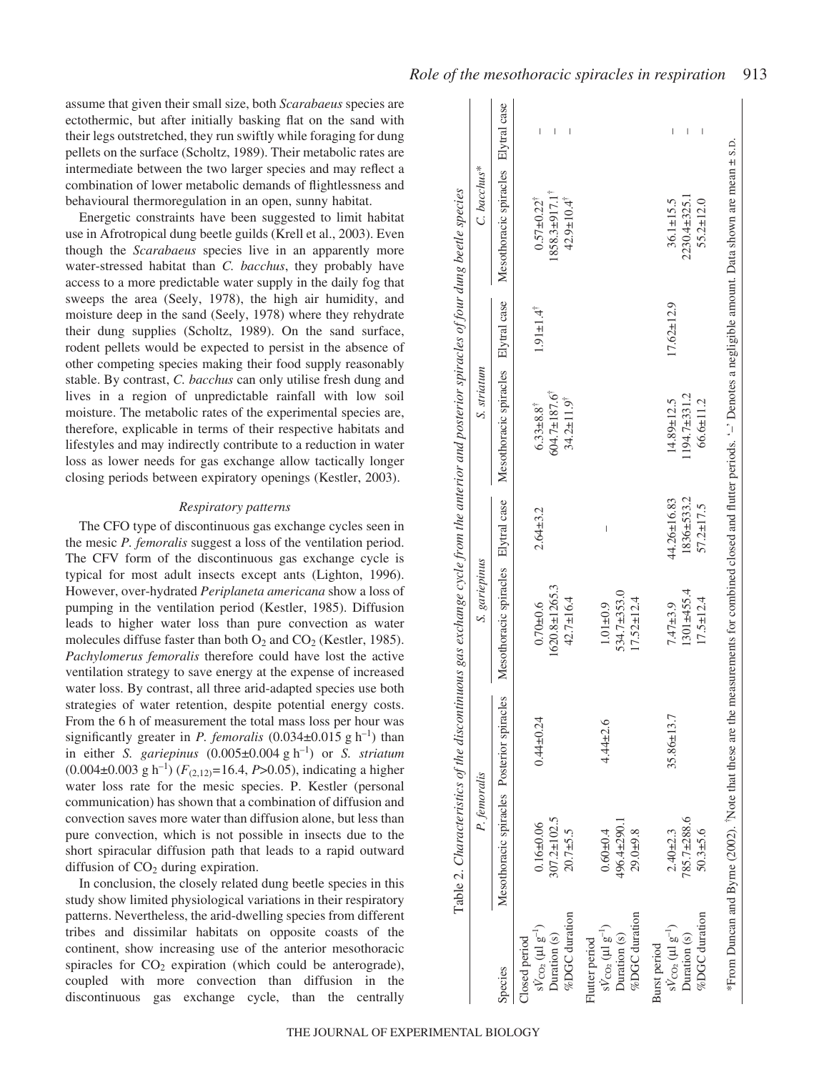assume that given their small size, both *Scarabaeus* species are ectothermic, but after initially basking flat on the sand with their legs outstretched, they run swiftly while foraging for dung pellets on the surface (Scholtz, 1989). Their metabolic rates are intermediate between the two larger species and may reflect a combination of lower metabolic demands of flightlessness and behavioural thermoregulation in an open, sunny habitat.

Energetic constraints have been suggested to limit habitat use in Afrotropical dung beetle guilds (Krell et al., 2003). Even though the *Scarabaeus* species live in an apparently more water-stressed habitat than *C. bacchus*, they probably have access to a more predictable water supply in the daily fog that sweeps the area (Seely, 1978), the high air humidity, and moisture deep in the sand (Seely, 1978) where they rehydrate their dung supplies (Scholtz, 1989). On the sand surface, rodent pellets would be expected to persist in the absence of other competing species making their food supply reasonably stable. By contrast, *C. bacchus* can only utilise fresh dung and lives in a region of unpredictable rainfall with low soil moisture. The metabolic rates of the experimental species are, therefore, explicable in terms of their respective habitats and lifestyles and may indirectly contribute to a reduction in water loss as lower needs for gas exchange allow tactically longer closing periods between expiratory openings (Kestler, 2003).

### *Respiratory patterns*

The CFO type of discontinuous gas exchange cycles seen in the mesic *P. femoralis* suggest a loss of the ventilation period. The CFV form of the discontinuous gas exchange cycle is typical for most adult insects except ants (Lighton, 1996). However, over-hydrated *Periplaneta americana* show a loss of pumping in the ventilation period (Kestler, 1985). Diffusion leads to higher water loss than pure convection as water molecules diffuse faster than both  $O_2$  and  $CO_2$  (Kestler, 1985). *Pachylomerus femoralis* therefore could have lost the active ventilation strategy to save energy at the expense of increased water loss. By contrast, all three arid-adapted species use both strategies of water retention, despite potential energy costs. From the 6 h of measurement the total mass loss per hour was significantly greater in *P. femoralis*  $(0.034\pm0.015 \text{ g h}^{-1})$  than in either *S. gariepinus*  $(0.005\pm0.004 \text{ g h}^{-1})$  or *S. striatum*  $(0.004\pm0.003 \text{ g h}^{-1})$  ( $F_{(2,12)}$ =16.4, *P*>0.05), indicating a higher water loss rate for the mesic species. P. Kestler (personal communication) has shown that a combination of diffusion and convection saves more water than diffusion alone, but less than pure convection, which is not possible in insects due to the short spiracular diffusion path that leads to a rapid outward diffusion of  $CO<sub>2</sub>$  during expiration.

In conclusion, the closely related dung beetle species in this study show limited physiological variations in their respiratory patterns. Nevertheless, the arid-dwelling species from different tribes and dissimilar habitats on opposite coasts of the continent, show increasing use of the anterior mesothoracic spiracles for  $CO<sub>2</sub>$  expiration (which could be anterograde), coupled with more convection than diffusion in the discontinuous gas exchange cycle, than the centrally

|                                                                                           | P. femoralis                                   |                 | S. gariepinus                                     |                                              | S. striatum                                                                                                                                                             |                             | C. bacchus*                                                                          |             |
|-------------------------------------------------------------------------------------------|------------------------------------------------|-----------------|---------------------------------------------------|----------------------------------------------|-------------------------------------------------------------------------------------------------------------------------------------------------------------------------|-----------------------------|--------------------------------------------------------------------------------------|-------------|
| Species                                                                                   | Mesothoracic spiracles Posterior spiracles     |                 | Mesothoracic spiracles Elytral case               |                                              | Mesothoracic spiracles Elytral case                                                                                                                                     |                             | Mesothoracic spiracles Elytral case                                                  |             |
| %DGC duration<br>$sV_{\text{CO}_2}$ ( $\mu$ l $g^{-1}$ )<br>Duration (s)<br>Closed period | 307.2±102.5<br>$0.16 \pm 0.06$<br>$20.7 + 5.5$ | $0.44 \pm 0.24$ | 1620.8±1265.3<br>42.7±16.4<br>$0.70 + 0.6$        | $2.64 + 3.2$                                 | $604.7 \pm 187.6$<br>$34.2 \pm 11.9^{\dagger}$<br>$6.33 \pm 8.8$ <sup>†</sup>                                                                                           | $1.91 \pm 1.4$ <sup>†</sup> | 1858.3±917.1 <sup>†</sup><br>$0.57\pm0.22^{\dagger}$<br>$42.9 \pm 10.4$ <sup>†</sup> | I<br>I<br>I |
| %DGC duration<br>$sV_{\rm CO2}$ (µl $g^{-1}$ )<br>Duration (s)<br>Flutter period          | 496.4±290.1<br>29.0±9.8<br>$0.60 \pm 0.4$      | $4.44 \pm 2.6$  | 534.7±353.0<br>$17.52 \pm 12.4$<br>$1.01 \pm 0.9$ | I                                            |                                                                                                                                                                         |                             |                                                                                      |             |
| %DGC duration<br>$sV_{CO_2} (\mu l g^{-1})$<br>Duration (s)<br>Burst period               | 785.7±288.6<br>$50.3 + 5.6$<br>$2.40 + 2.3$    | 35.86±13.7      | $1301 + 455.4$<br>$17.5 \pm 12.4$<br>$7.47 + 3.9$ | 1836±533.2<br>44.26±16.83<br>$57.2 \pm 17.5$ | $1194.7\pm 331.2$<br>66.6±11.2<br>$14.89 \pm 12.5$                                                                                                                      | $17.62 \pm 12.9$            | $2230.4 \pm 325.1$<br>$55.2 \pm 12.0$<br>$36.1 \pm 15.5$                             |             |
|                                                                                           |                                                |                 |                                                   |                                              | From Duncan and Byrne (2002). Note that these are the measurements for combined closed and flutter periods. '-' Denotes a negligible amount. Data shown are mean ± s.p. |                             |                                                                                      |             |